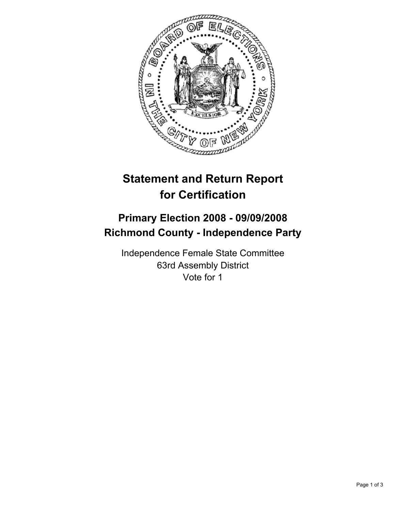

## **Statement and Return Report for Certification**

## **Primary Election 2008 - 09/09/2008 Richmond County - Independence Party**

Independence Female State Committee 63rd Assembly District Vote for 1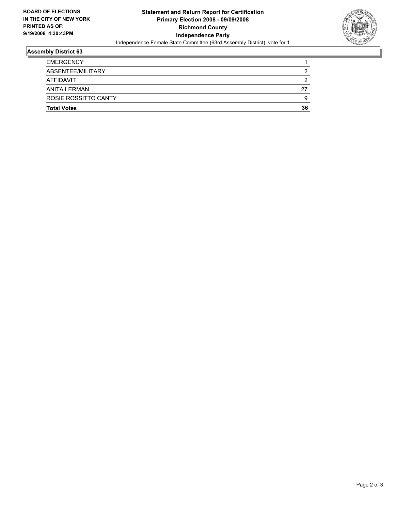

## **Assembly District 63**

| <b>Total Votes</b>   | 36 |
|----------------------|----|
| ROSIE ROSSITTO CANTY | g  |
| ANITA LERMAN         | 27 |
| <b>AFFIDAVIT</b>     |    |
| ABSENTEE/MILITARY    |    |
| <b>EMERGENCY</b>     |    |